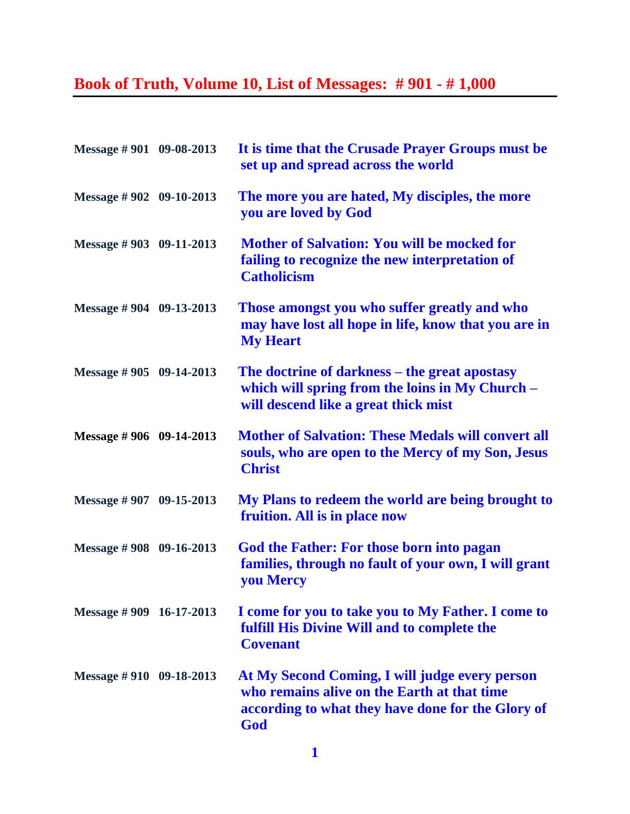## **Book of Truth, Volume 10, List of Messages: # 901 - # 1,000**

| Message #901 09-08-2013     | It is time that the Crusade Prayer Groups must be<br>set up and spread across the world                                                                   |
|-----------------------------|-----------------------------------------------------------------------------------------------------------------------------------------------------------|
| Message $\# 902$ 09-10-2013 | The more you are hated, My disciples, the more<br>you are loved by God                                                                                    |
| Message #903 09-11-2013     | <b>Mother of Salvation: You will be mocked for</b><br>failing to recognize the new interpretation of<br><b>Catholicism</b>                                |
| Message # 904 09-13-2013    | Those amongst you who suffer greatly and who<br>may have lost all hope in life, know that you are in<br><b>My Heart</b>                                   |
| Message $\# 905$ 09-14-2013 | The doctrine of darkness – the great apostasy<br>which will spring from the loins in My Church -<br>will descend like a great thick mist                  |
| Message # 906 09-14-2013    | <b>Mother of Salvation: These Medals will convert all</b><br>souls, who are open to the Mercy of my Son, Jesus<br><b>Christ</b>                           |
| Message $\# 907$ 09-15-2013 | My Plans to redeem the world are being brought to<br>fruition. All is in place now                                                                        |
| Message $\# 908$ 09-16-2013 | <b>God the Father: For those born into pagan</b><br>families, through no fault of your own, I will grant<br><b>you Mercy</b>                              |
| Message #909 16-17-2013     | I come for you to take you to My Father. I come to<br>fulfill His Divine Will and to complete the<br><b>Covenant</b>                                      |
| Message #910 09-18-2013     | At My Second Coming, I will judge every person<br>who remains alive on the Earth at that time<br>according to what they have done for the Glory of<br>God |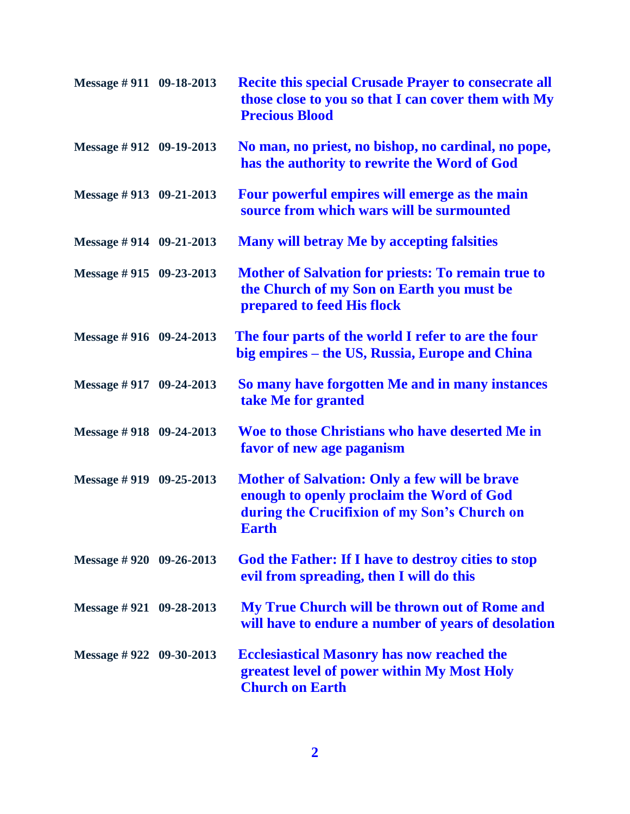| Message #911 09-18-2013     | <b>Recite this special Crusade Prayer to consecrate all</b><br>those close to you so that I can cover them with My<br><b>Precious Blood</b>                       |
|-----------------------------|-------------------------------------------------------------------------------------------------------------------------------------------------------------------|
| Message #912 09-19-2013     | No man, no priest, no bishop, no cardinal, no pope,<br>has the authority to rewrite the Word of God                                                               |
| Message $\#$ 913 09-21-2013 | Four powerful empires will emerge as the main<br>source from which wars will be surmounted                                                                        |
| Message $\#$ 914 09-21-2013 | <b>Many will betray Me by accepting falsities</b>                                                                                                                 |
| Message #915 09-23-2013     | <b>Mother of Salvation for priests: To remain true to</b><br>the Church of my Son on Earth you must be<br>prepared to feed His flock                              |
| Message #916 09-24-2013     | The four parts of the world I refer to are the four<br>big empires – the US, Russia, Europe and China                                                             |
| Message #917 09-24-2013     | So many have forgotten Me and in many instances<br>take Me for granted                                                                                            |
| Message #918 09-24-2013     | Woe to those Christians who have deserted Me in<br>favor of new age paganism                                                                                      |
| Message $\#$ 919 09-25-2013 | <b>Mother of Salvation: Only a few will be brave</b><br>enough to openly proclaim the Word of God<br>during the Crucifixion of my Son's Church on<br><b>Earth</b> |
| Message $\#$ 920 09-26-2013 | God the Father: If I have to destroy cities to stop<br>evil from spreading, then I will do this                                                                   |
| Message $\#$ 921 09-28-2013 | My True Church will be thrown out of Rome and<br>will have to endure a number of years of desolation                                                              |
| Message $\#$ 922 09-30-2013 | <b>Ecclesiastical Masonry has now reached the</b><br>greatest level of power within My Most Holy<br><b>Church on Earth</b>                                        |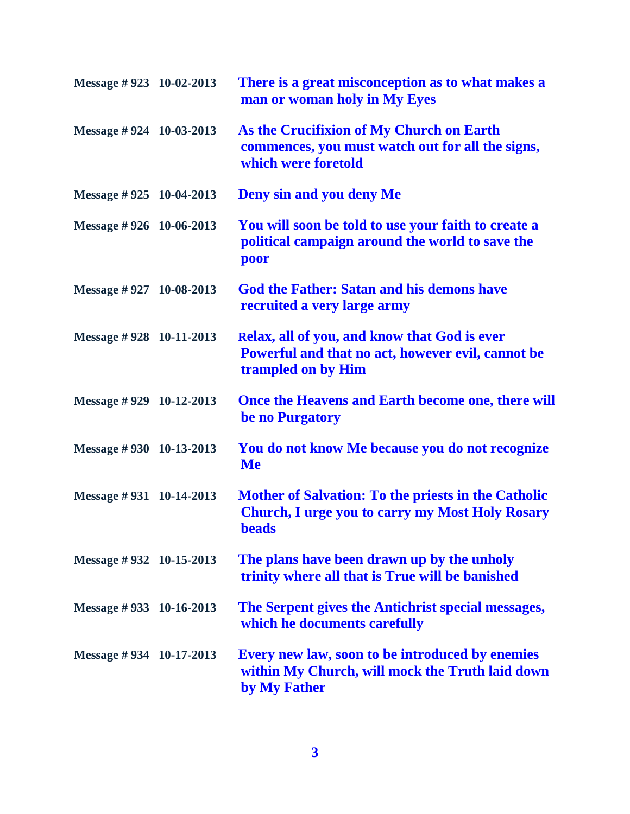| Message #923 10-02-2013     | There is a great misconception as to what makes a<br>man or woman holy in My Eyes                                                    |
|-----------------------------|--------------------------------------------------------------------------------------------------------------------------------------|
| Message $\#$ 924 10-03-2013 | As the Crucifixion of My Church on Earth<br>commences, you must watch out for all the signs,<br>which were foretold                  |
| Message #925 10-04-2013     | <b>Deny sin and you deny Me</b>                                                                                                      |
| Message #926 10-06-2013     | You will soon be told to use your faith to create a<br>political campaign around the world to save the<br>poor                       |
| Message $\#$ 927 10-08-2013 | <b>God the Father: Satan and his demons have</b><br>recruited a very large army                                                      |
| Message #928 10-11-2013     | Relax, all of you, and know that God is ever<br>Powerful and that no act, however evil, cannot be<br>trampled on by Him              |
| Message $\#$ 929 10-12-2013 | Once the Heavens and Earth become one, there will<br>be no Purgatory                                                                 |
| Message $\#$ 930 10-13-2013 | You do not know Me because you do not recognize<br><b>Me</b>                                                                         |
| Message $\#$ 931 10-14-2013 | <b>Mother of Salvation: To the priests in the Catholic</b><br><b>Church, I urge you to carry my Most Holy Rosary</b><br><b>beads</b> |
| Message $\#$ 932 10-15-2013 | The plans have been drawn up by the unholy<br>trinity where all that is True will be banished                                        |
| Message #933 10-16-2013     | The Serpent gives the Antichrist special messages,<br>which he documents carefully                                                   |
| Message $\#$ 934 10-17-2013 | Every new law, soon to be introduced by enemies<br>within My Church, will mock the Truth laid down<br>by My Father                   |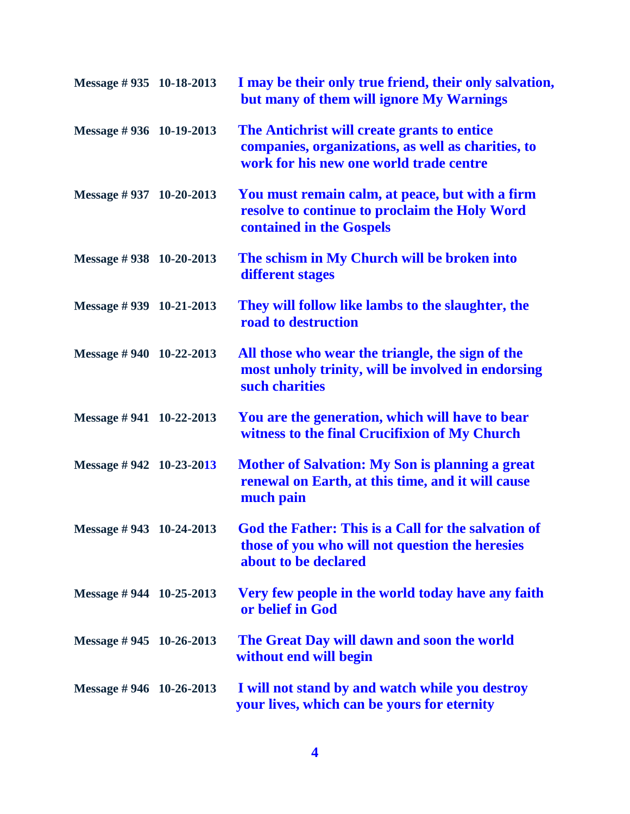| Message #935 10-18-2013           | I may be their only true friend, their only salvation,<br>but many of them will ignore My Warnings                                           |
|-----------------------------------|----------------------------------------------------------------------------------------------------------------------------------------------|
| Message #936 10-19-2013           | The Antichrist will create grants to entice<br>companies, organizations, as well as charities, to<br>work for his new one world trade centre |
| Message #937 10-20-2013           | You must remain calm, at peace, but with a firm<br>resolve to continue to proclaim the Holy Word<br>contained in the Gospels                 |
| Message #938 10-20-2013           | The schism in My Church will be broken into<br>different stages                                                                              |
| Message #939 10-21-2013           | They will follow like lambs to the slaughter, the<br>road to destruction                                                                     |
| Message $\# 940$ 10-22-2013       | All those who wear the triangle, the sign of the<br>most unholy trinity, will be involved in endorsing<br>such charities                     |
| Message $\# 941 \quad 10-22-2013$ | You are the generation, which will have to bear<br>witness to the final Crucifixion of My Church                                             |
| Message #942 10-23-2013           | <b>Mother of Salvation: My Son is planning a great</b><br>renewal on Earth, at this time, and it will cause<br>much pain                     |
| Message #943 10-24-2013           | God the Father: This is a Call for the salvation of<br>those of you who will not question the heresies<br>about to be declared               |
| Message #944 10-25-2013           | Very few people in the world today have any faith<br>or belief in God                                                                        |
| Message $\#$ 945 10-26-2013       | The Great Day will dawn and soon the world<br>without end will begin                                                                         |
| Message #946 $10-26-2013$         | I will not stand by and watch while you destroy<br>your lives, which can be yours for eternity                                               |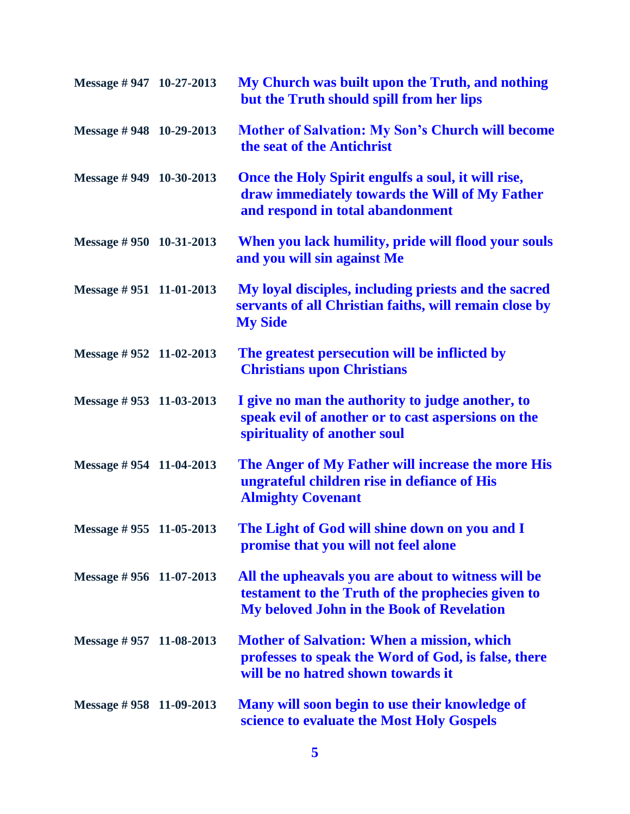| Message #947 10-27-2013     | My Church was built upon the Truth, and nothing<br>but the Truth should spill from her lips                                                                 |
|-----------------------------|-------------------------------------------------------------------------------------------------------------------------------------------------------------|
| Message #948 10-29-2013     | <b>Mother of Salvation: My Son's Church will become</b><br>the seat of the Antichrist                                                                       |
| Message #949 10-30-2013     | Once the Holy Spirit engulfs a soul, it will rise,<br>draw immediately towards the Will of My Father<br>and respond in total abandonment                    |
| Message #950 10-31-2013     | When you lack humility, pride will flood your souls<br>and you will sin against Me                                                                          |
| Message $\# 951$ 11-01-2013 | My loyal disciples, including priests and the sacred<br>servants of all Christian faiths, will remain close by<br><b>My Side</b>                            |
| Message #952 11-02-2013     | The greatest persecution will be inflicted by<br><b>Christians upon Christians</b>                                                                          |
| Message #953 11-03-2013     | I give no man the authority to judge another, to<br>speak evil of another or to cast aspersions on the<br>spirituality of another soul                      |
| Message #954 11-04-2013     | The Anger of My Father will increase the more His<br>ungrateful children rise in defiance of His<br><b>Almighty Covenant</b>                                |
| Message #955 11-05-2013     | The Light of God will shine down on you and I<br>promise that you will not feel alone                                                                       |
| Message #956 11-07-2013     | All the upheavals you are about to witness will be<br>testament to the Truth of the prophecies given to<br><b>My beloved John in the Book of Revelation</b> |
| Message $\#$ 957 11-08-2013 | <b>Mother of Salvation: When a mission, which</b><br>professes to speak the Word of God, is false, there<br>will be no hatred shown towards it              |
| Message #958 11-09-2013     | Many will soon begin to use their knowledge of<br>science to evaluate the Most Holy Gospels                                                                 |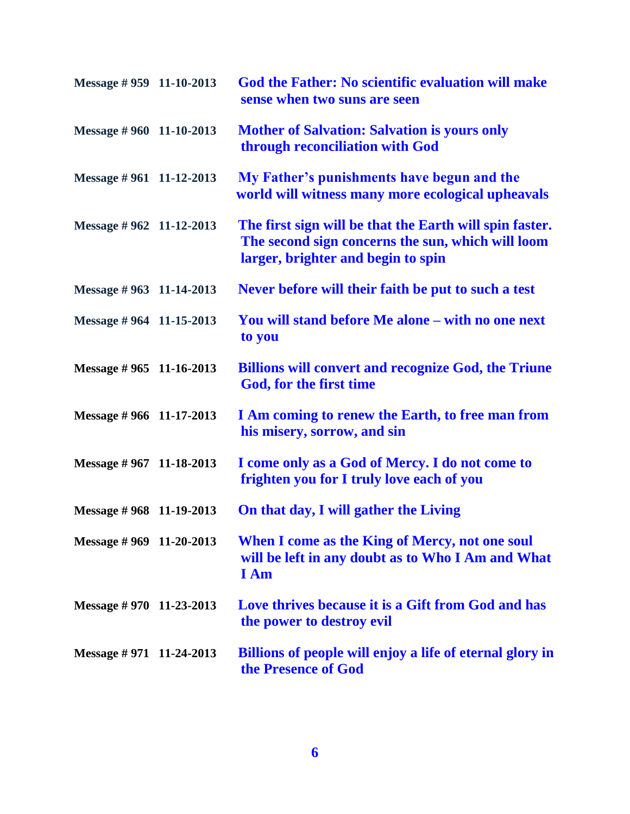| Message $\# 959$ 11-10-2013 | God the Father: No scientific evaluation will make<br>sense when two suns are seen                                                                 |
|-----------------------------|----------------------------------------------------------------------------------------------------------------------------------------------------|
| Message #960 11-10-2013     | <b>Mother of Salvation: Salvation is yours only</b><br>through reconciliation with God                                                             |
| Message $\# 961$ 11-12-2013 | My Father's punishments have begun and the<br>world will witness many more ecological upheavals                                                    |
| Message #962 11-12-2013     | The first sign will be that the Earth will spin faster.<br>The second sign concerns the sun, which will loom<br>larger, brighter and begin to spin |
| Message #963 11-14-2013     | Never before will their faith be put to such a test                                                                                                |
| Message #964 11-15-2013     | You will stand before Me alone – with no one next<br>to you                                                                                        |
| Message #965 11-16-2013     | <b>Billions will convert and recognize God, the Triune</b><br>God, for the first time                                                              |
| Message #966 11-17-2013     | I Am coming to renew the Earth, to free man from<br>his misery, sorrow, and sin                                                                    |
| Message #967 11-18-2013     | I come only as a God of Mercy. I do not come to<br>frighten you for I truly love each of you                                                       |
| Message #968 11-19-2013     | On that day, I will gather the Living                                                                                                              |
| Message #969 11-20-2013     | When I come as the King of Mercy, not one soul<br>will be left in any doubt as to Who I Am and What<br><b>I</b> Am                                 |
| Message # 970 11-23-2013    | Love thrives because it is a Gift from God and has<br>the power to destroy evil                                                                    |
| Message $\#$ 971 11-24-2013 | Billions of people will enjoy a life of eternal glory in<br>the Presence of God                                                                    |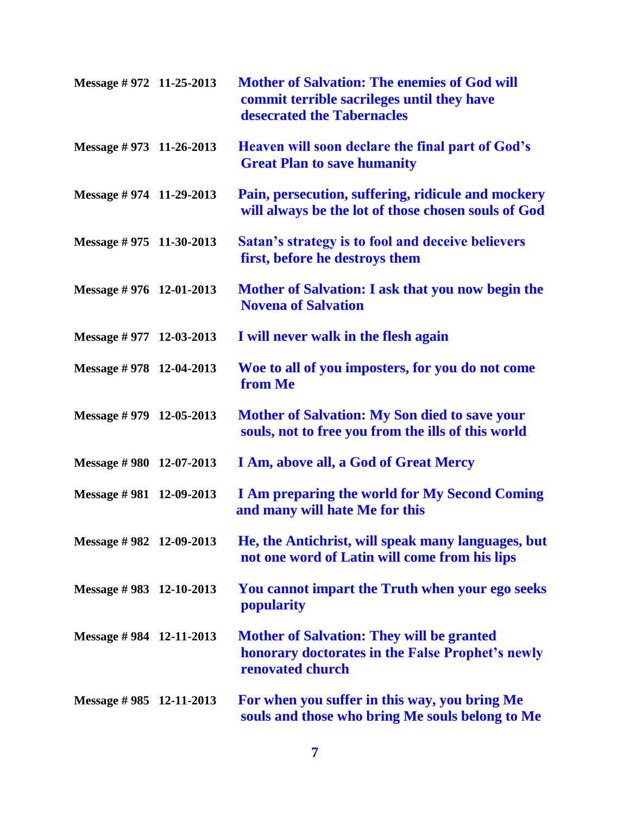| Message # 972 11-25-2013    | <b>Mother of Salvation: The enemies of God will</b><br>commit terrible sacrileges until they have<br>desecrated the Tabernacles |
|-----------------------------|---------------------------------------------------------------------------------------------------------------------------------|
| Message # 973 11-26-2013    | Heaven will soon declare the final part of God's<br><b>Great Plan to save humanity</b>                                          |
| Message # 974 11-29-2013    | Pain, persecution, suffering, ridicule and mockery<br>will always be the lot of those chosen souls of God                       |
| Message # 975 11-30-2013    | <b>Satan's strategy is to fool and deceive believers</b><br>first, before he destroys them                                      |
| Message # 976 12-01-2013    | Mother of Salvation: I ask that you now begin the<br><b>Novena of Salvation</b>                                                 |
| Message $\#$ 977 12-03-2013 | I will never walk in the flesh again                                                                                            |
| Message #978 12-04-2013     | Woe to all of you imposters, for you do not come<br>from Me                                                                     |
| Message # 979 12-05-2013    | <b>Mother of Salvation: My Son died to save your</b><br>souls, not to free you from the ills of this world                      |
| Message #980 12-07-2013     | I Am, above all, a God of Great Mercy                                                                                           |
| Message #981 12-09-2013     | <b>I Am preparing the world for My Second Coming</b><br>and many will hate Me for this                                          |
| Message #982 12-09-2013     | He, the Antichrist, will speak many languages, but<br>not one word of Latin will come from his lips                             |
| Message #983 12-10-2013     | You cannot impart the Truth when your ego seeks<br>popularity                                                                   |
| Message #984 12-11-2013     | <b>Mother of Salvation: They will be granted</b><br>honorary doctorates in the False Prophet's newly<br>renovated church        |
| Message #985 12-11-2013     | For when you suffer in this way, you bring Me<br>souls and those who bring Me souls belong to Me                                |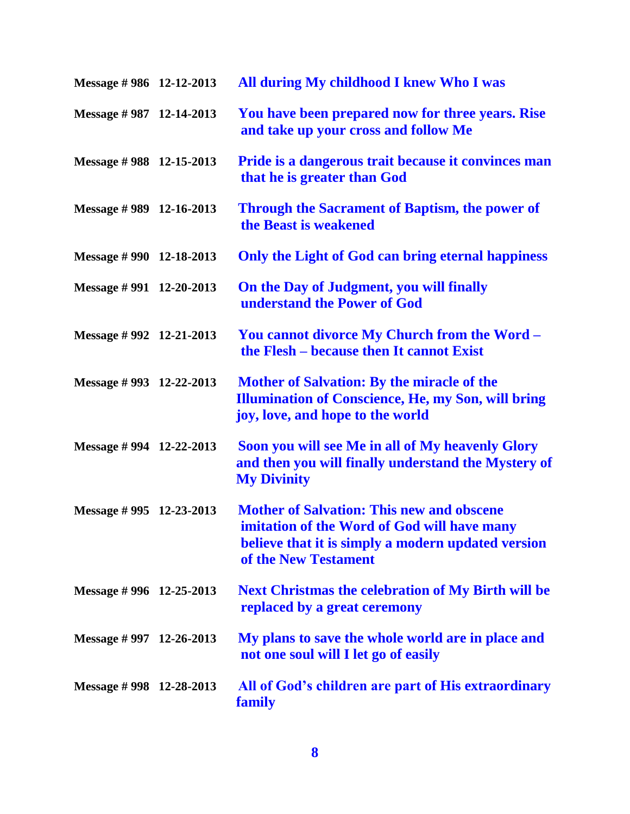| Message #986 12-12-2013     | All during My childhood I knew Who I was                                                                                                                                      |
|-----------------------------|-------------------------------------------------------------------------------------------------------------------------------------------------------------------------------|
| Message #987 12-14-2013     | You have been prepared now for three years. Rise<br>and take up your cross and follow Me                                                                                      |
| Message #988 12-15-2013     | Pride is a dangerous trait because it convinces man<br>that he is greater than God                                                                                            |
| Message $\#$ 989 12-16-2013 | <b>Through the Sacrament of Baptism, the power of</b><br>the Beast is weakened                                                                                                |
| Message #990 12-18-2013     | Only the Light of God can bring eternal happiness                                                                                                                             |
| Message #991 12-20-2013     | On the Day of Judgment, you will finally<br>understand the Power of God                                                                                                       |
| Message #992 12-21-2013     | You cannot divorce My Church from the Word -<br>the Flesh – because then It cannot Exist                                                                                      |
| Message #993 12-22-2013     | <b>Mother of Salvation: By the miracle of the</b><br><b>Illumination of Conscience, He, my Son, will bring</b><br>joy, love, and hope to the world                            |
| Message #994 12-22-2013     | Soon you will see Me in all of My heavenly Glory<br>and then you will finally understand the Mystery of<br><b>My Divinity</b>                                                 |
| Message $\#$ 995 12-23-2013 | <b>Mother of Salvation: This new and obscene</b><br>imitation of the Word of God will have many<br>believe that it is simply a modern updated version<br>of the New Testament |
| Message #996 12-25-2013     | <b>Next Christmas the celebration of My Birth will be</b><br>replaced by a great ceremony                                                                                     |
| Message #997 12-26-2013     | My plans to save the whole world are in place and<br>not one soul will I let go of easily                                                                                     |
| Message #998 12-28-2013     | All of God's children are part of His extraordinary<br>family                                                                                                                 |